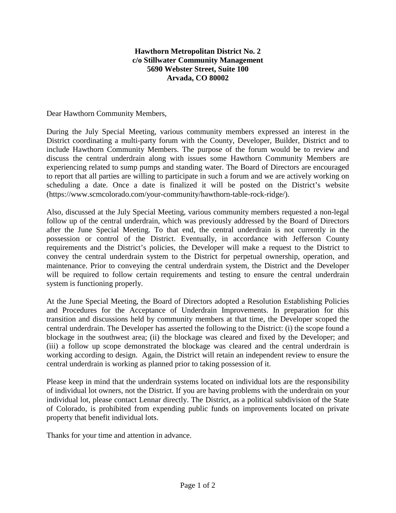## **Hawthorn Metropolitan District No. 2 c/o Stillwater Community Management 5690 Webster Street, Suite 100 Arvada, CO 80002**

Dear Hawthorn Community Members,

During the July Special Meeting, various community members expressed an interest in the District coordinating a multi-party forum with the County, Developer, Builder, District and to include Hawthorn Community Members. The purpose of the forum would be to review and discuss the central underdrain along with issues some Hawthorn Community Members are experiencing related to sump pumps and standing water. The Board of Directors are encouraged to report that all parties are willing to participate in such a forum and we are actively working on scheduling a date. Once a date is finalized it will be posted on the District's website (https://www.scmcolorado.com/your-community/hawthorn-table-rock-ridge/).

Also, discussed at the July Special Meeting, various community members requested a non-legal follow up of the central underdrain, which was previously addressed by the Board of Directors after the June Special Meeting. To that end, the central underdrain is not currently in the possession or control of the District. Eventually, in accordance with Jefferson County requirements and the District's policies, the Developer will make a request to the District to convey the central underdrain system to the District for perpetual ownership, operation, and maintenance. Prior to conveying the central underdrain system, the District and the Developer will be required to follow certain requirements and testing to ensure the central underdrain system is functioning properly.

At the June Special Meeting, the Board of Directors adopted a Resolution Establishing Policies and Procedures for the Acceptance of Underdrain Improvements. In preparation for this transition and discussions held by community members at that time, the Developer scoped the central underdrain. The Developer has asserted the following to the District: (i) the scope found a blockage in the southwest area; (ii) the blockage was cleared and fixed by the Developer; and (iii) a follow up scope demonstrated the blockage was cleared and the central underdrain is working according to design. Again, the District will retain an independent review to ensure the central underdrain is working as planned prior to taking possession of it.

Please keep in mind that the underdrain systems located on individual lots are the responsibility of individual lot owners, not the District. If you are having problems with the underdrain on your individual lot, please contact Lennar directly. The District, as a political subdivision of the State of Colorado, is prohibited from expending public funds on improvements located on private property that benefit individual lots.

Thanks for your time and attention in advance.